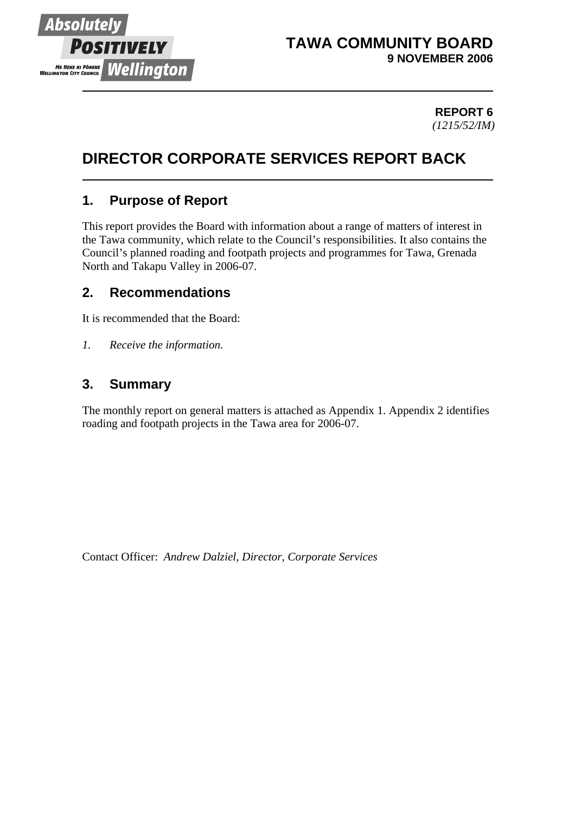

## **TAWA COMMUNITY BOARD 9 NOVEMBER 2006**

#### **REPORT 6** *(1215/52/IM)*

# **DIRECTOR CORPORATE SERVICES REPORT BACK**

## **1. Purpose of Report**

This report provides the Board with information about a range of matters of interest in the Tawa community, which relate to the Council's responsibilities. It also contains the Council's planned roading and footpath projects and programmes for Tawa, Grenada North and Takapu Valley in 2006-07.

## **2. Recommendations**

It is recommended that the Board:

*1. Receive the information.*

## **3. Summary**

The monthly report on general matters is attached as Appendix 1. Appendix 2 identifies roading and footpath projects in the Tawa area for 2006-07.

Contact Officer: *Andrew Dalziel, Director, Corporate Services*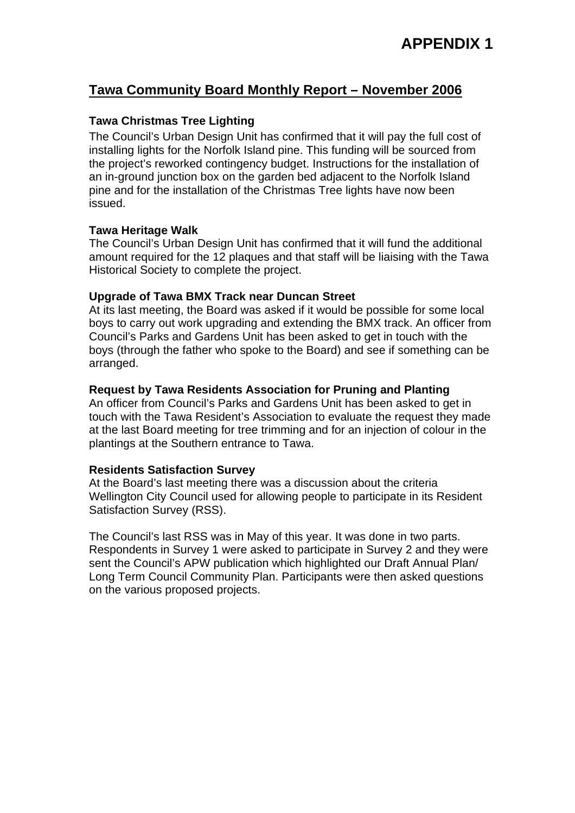## **Tawa Community Board Monthly Report – November 2006**

#### **Tawa Christmas Tree Lighting**

The Council's Urban Design Unit has confirmed that it will pay the full cost of installing lights for the Norfolk Island pine. This funding will be sourced from the project's reworked contingency budget. Instructions for the installation of an in-ground junction box on the garden bed adjacent to the Norfolk Island pine and for the installation of the Christmas Tree lights have now been issued.

#### **Tawa Heritage Walk**

The Council's Urban Design Unit has confirmed that it will fund the additional amount required for the 12 plaques and that staff will be liaising with the Tawa Historical Society to complete the project.

#### **Upgrade of Tawa BMX Track near Duncan Street**

At its last meeting, the Board was asked if it would be possible for some local boys to carry out work upgrading and extending the BMX track. An officer from Council's Parks and Gardens Unit has been asked to get in touch with the boys (through the father who spoke to the Board) and see if something can be arranged.

#### **Request by Tawa Residents Association for Pruning and Planting**

An officer from Council's Parks and Gardens Unit has been asked to get in touch with the Tawa Resident's Association to evaluate the request they made at the last Board meeting for tree trimming and for an injection of colour in the plantings at the Southern entrance to Tawa.

#### **Residents Satisfaction Survey**

At the Board's last meeting there was a discussion about the criteria Wellington City Council used for allowing people to participate in its Resident Satisfaction Survey (RSS).

The Council's last RSS was in May of this year. It was done in two parts. Respondents in Survey 1 were asked to participate in Survey 2 and they were sent the Council's APW publication which highlighted our Draft Annual Plan/ Long Term Council Community Plan. Participants were then asked questions on the various proposed projects.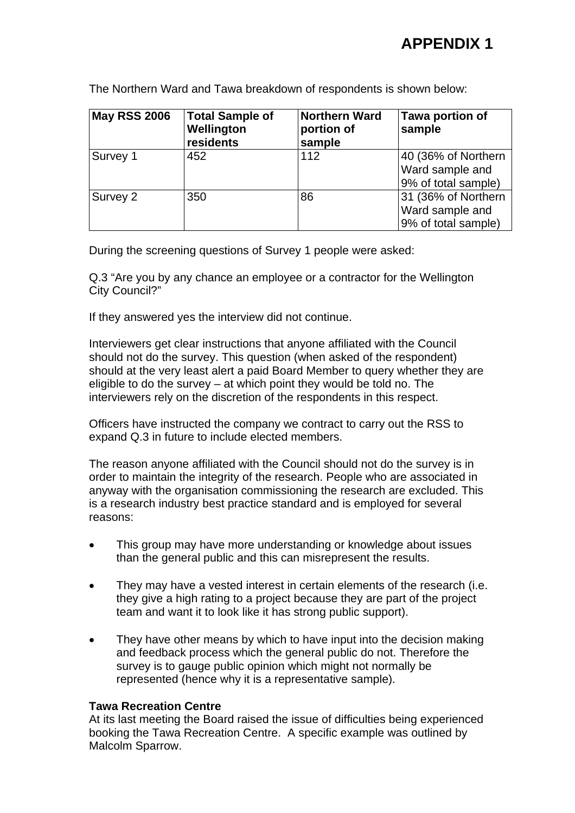# **APPENDIX 1**

The Northern Ward and Tawa breakdown of respondents is shown below:

| <b>May RSS 2006</b> | <b>Total Sample of</b><br>Wellington<br>residents | <b>Northern Ward</b><br>portion of<br>sample | Tawa portion of<br>sample                                     |
|---------------------|---------------------------------------------------|----------------------------------------------|---------------------------------------------------------------|
| Survey 1            | 452                                               | 112                                          | 40 (36% of Northern<br>Ward sample and<br>9% of total sample) |
| Survey 2            | 350                                               | 86                                           | 31 (36% of Northern<br>Ward sample and<br>9% of total sample) |

During the screening questions of Survey 1 people were asked:

Q.3 "Are you by any chance an employee or a contractor for the Wellington City Council?"

If they answered yes the interview did not continue.

Interviewers get clear instructions that anyone affiliated with the Council should not do the survey. This question (when asked of the respondent) should at the very least alert a paid Board Member to query whether they are eligible to do the survey – at which point they would be told no. The interviewers rely on the discretion of the respondents in this respect.

Officers have instructed the company we contract to carry out the RSS to expand Q.3 in future to include elected members.

The reason anyone affiliated with the Council should not do the survey is in order to maintain the integrity of the research. People who are associated in anyway with the organisation commissioning the research are excluded. This is a research industry best practice standard and is employed for several reasons:

- This group may have more understanding or knowledge about issues than the general public and this can misrepresent the results.
- They may have a vested interest in certain elements of the research (i.e. they give a high rating to a project because they are part of the project team and want it to look like it has strong public support).
- They have other means by which to have input into the decision making and feedback process which the general public do not. Therefore the survey is to gauge public opinion which might not normally be represented (hence why it is a representative sample).

#### **Tawa Recreation Centre**

At its last meeting the Board raised the issue of difficulties being experienced booking the Tawa Recreation Centre. A specific example was outlined by Malcolm Sparrow.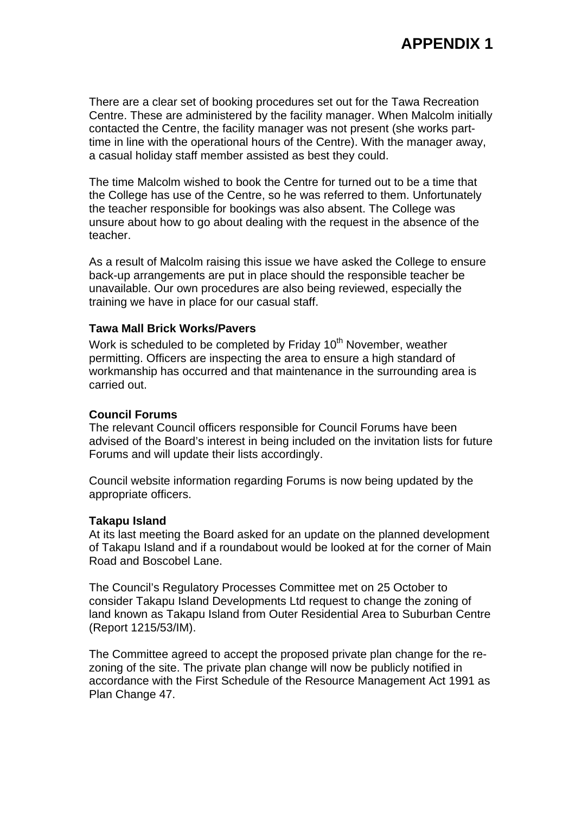There are a clear set of booking procedures set out for the Tawa Recreation Centre. These are administered by the facility manager. When Malcolm initially contacted the Centre, the facility manager was not present (she works parttime in line with the operational hours of the Centre). With the manager away, a casual holiday staff member assisted as best they could.

The time Malcolm wished to book the Centre for turned out to be a time that the College has use of the Centre, so he was referred to them. Unfortunately the teacher responsible for bookings was also absent. The College was unsure about how to go about dealing with the request in the absence of the teacher.

As a result of Malcolm raising this issue we have asked the College to ensure back-up arrangements are put in place should the responsible teacher be unavailable. Our own procedures are also being reviewed, especially the training we have in place for our casual staff.

#### **Tawa Mall Brick Works/Pavers**

Work is scheduled to be completed by Friday 10<sup>th</sup> November, weather permitting. Officers are inspecting the area to ensure a high standard of workmanship has occurred and that maintenance in the surrounding area is carried out.

#### **Council Forums**

The relevant Council officers responsible for Council Forums have been advised of the Board's interest in being included on the invitation lists for future Forums and will update their lists accordingly.

Council website information regarding Forums is now being updated by the appropriate officers.

#### **Takapu Island**

At its last meeting the Board asked for an update on the planned development of Takapu Island and if a roundabout would be looked at for the corner of Main Road and Boscobel Lane.

The Council's Regulatory Processes Committee met on 25 October to consider Takapu Island Developments Ltd request to change the zoning of land known as Takapu Island from Outer Residential Area to Suburban Centre (Report 1215/53/IM).

The Committee agreed to accept the proposed private plan change for the rezoning of the site. The private plan change will now be publicly notified in accordance with the First Schedule of the Resource Management Act 1991 as Plan Change 47.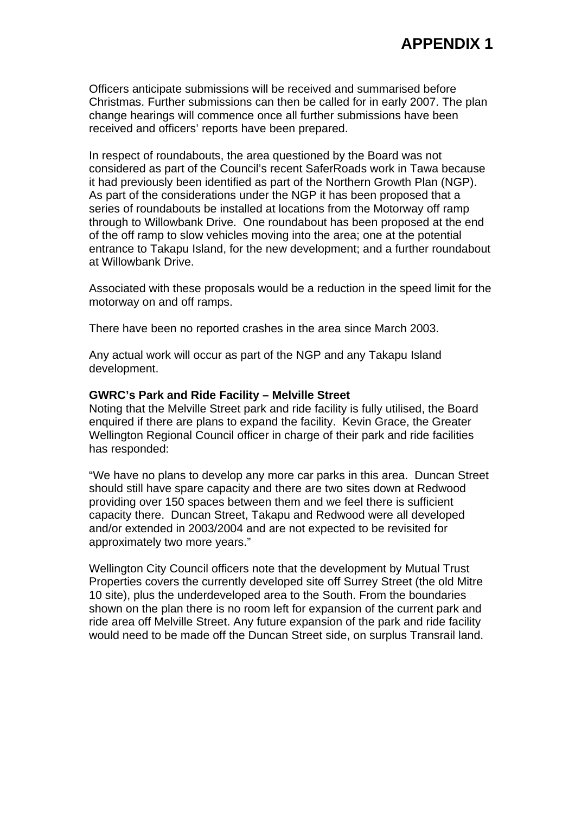Officers anticipate submissions will be received and summarised before Christmas. Further submissions can then be called for in early 2007. The plan change hearings will commence once all further submissions have been received and officers' reports have been prepared.

In respect of roundabouts, the area questioned by the Board was not considered as part of the Council's recent SaferRoads work in Tawa because it had previously been identified as part of the Northern Growth Plan (NGP). As part of the considerations under the NGP it has been proposed that a series of roundabouts be installed at locations from the Motorway off ramp through to Willowbank Drive. One roundabout has been proposed at the end of the off ramp to slow vehicles moving into the area; one at the potential entrance to Takapu Island, for the new development; and a further roundabout at Willowbank Drive.

Associated with these proposals would be a reduction in the speed limit for the motorway on and off ramps.

There have been no reported crashes in the area since March 2003.

Any actual work will occur as part of the NGP and any Takapu Island development.

#### **GWRC's Park and Ride Facility – Melville Street**

Noting that the Melville Street park and ride facility is fully utilised, the Board enquired if there are plans to expand the facility. Kevin Grace, the Greater Wellington Regional Council officer in charge of their park and ride facilities has responded:

"We have no plans to develop any more car parks in this area. Duncan Street should still have spare capacity and there are two sites down at Redwood providing over 150 spaces between them and we feel there is sufficient capacity there. Duncan Street, Takapu and Redwood were all developed and/or extended in 2003/2004 and are not expected to be revisited for approximately two more years."

Wellington City Council officers note that the development by Mutual Trust Properties covers the currently developed site off Surrey Street (the old Mitre 10 site), plus the underdeveloped area to the South. From the boundaries shown on the plan there is no room left for expansion of the current park and ride area off Melville Street. Any future expansion of the park and ride facility would need to be made off the Duncan Street side, on surplus Transrail land.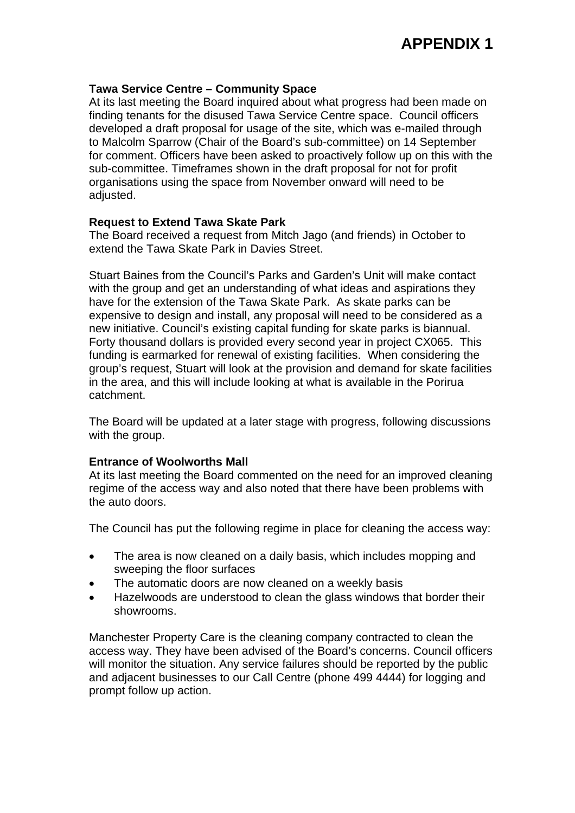#### **Tawa Service Centre – Community Space**

At its last meeting the Board inquired about what progress had been made on finding tenants for the disused Tawa Service Centre space. Council officers developed a draft proposal for usage of the site, which was e-mailed through to Malcolm Sparrow (Chair of the Board's sub-committee) on 14 September for comment. Officers have been asked to proactively follow up on this with the sub-committee. Timeframes shown in the draft proposal for not for profit organisations using the space from November onward will need to be adjusted.

#### **Request to Extend Tawa Skate Park**

The Board received a request from Mitch Jago (and friends) in October to extend the Tawa Skate Park in Davies Street.

Stuart Baines from the Council's Parks and Garden's Unit will make contact with the group and get an understanding of what ideas and aspirations they have for the extension of the Tawa Skate Park. As skate parks can be expensive to design and install, any proposal will need to be considered as a new initiative. Council's existing capital funding for skate parks is biannual. Forty thousand dollars is provided every second year in project CX065. This funding is earmarked for renewal of existing facilities. When considering the group's request, Stuart will look at the provision and demand for skate facilities in the area, and this will include looking at what is available in the Porirua catchment.

The Board will be updated at a later stage with progress, following discussions with the group.

#### **Entrance of Woolworths Mall**

At its last meeting the Board commented on the need for an improved cleaning regime of the access way and also noted that there have been problems with the auto doors.

The Council has put the following regime in place for cleaning the access way:

- The area is now cleaned on a daily basis, which includes mopping and sweeping the floor surfaces
- The automatic doors are now cleaned on a weekly basis
- Hazelwoods are understood to clean the glass windows that border their showrooms.

Manchester Property Care is the cleaning company contracted to clean the access way. They have been advised of the Board's concerns. Council officers will monitor the situation. Any service failures should be reported by the public and adjacent businesses to our Call Centre (phone 499 4444) for logging and prompt follow up action.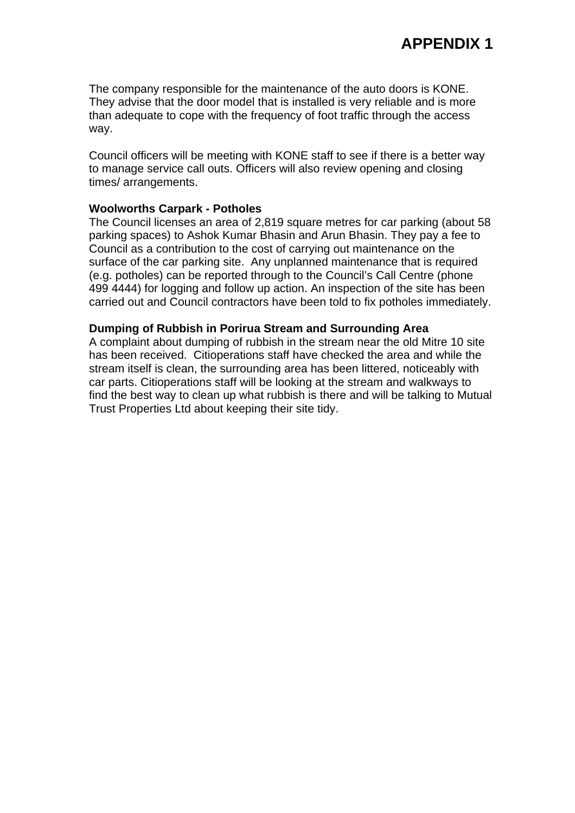The company responsible for the maintenance of the auto doors is KONE. They advise that the door model that is installed is very reliable and is more than adequate to cope with the frequency of foot traffic through the access way.

Council officers will be meeting with KONE staff to see if there is a better way to manage service call outs. Officers will also review opening and closing times/ arrangements.

#### **Woolworths Carpark - Potholes**

The Council licenses an area of 2,819 square metres for car parking (about 58 parking spaces) to Ashok Kumar Bhasin and Arun Bhasin. They pay a fee to Council as a contribution to the cost of carrying out maintenance on the surface of the car parking site. Any unplanned maintenance that is required (e.g. potholes) can be reported through to the Council's Call Centre (phone 499 4444) for logging and follow up action. An inspection of the site has been carried out and Council contractors have been told to fix potholes immediately.

#### **Dumping of Rubbish in Porirua Stream and Surrounding Area**

A complaint about dumping of rubbish in the stream near the old Mitre 10 site has been received. Citioperations staff have checked the area and while the stream itself is clean, the surrounding area has been littered, noticeably with car parts. Citioperations staff will be looking at the stream and walkways to find the best way to clean up what rubbish is there and will be talking to Mutual Trust Properties Ltd about keeping their site tidy.